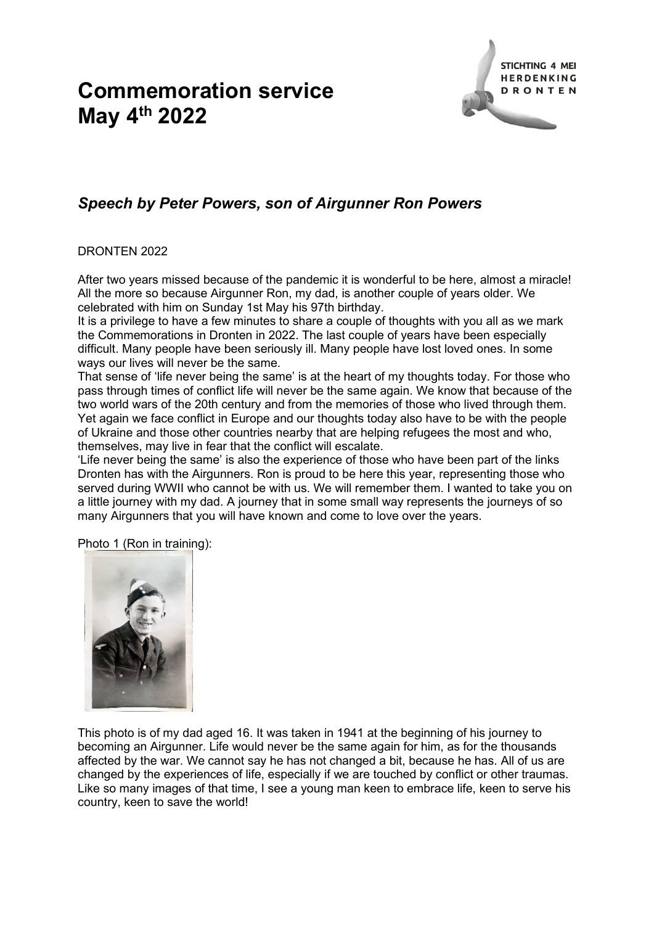## **Commemoration service May 4th 2022**



## *Speech by Peter Powers, son of Airgunner Ron Powers*

## DRONTEN 2022

After two years missed because of the pandemic it is wonderful to be here, almost a miracle! All the more so because Airgunner Ron, my dad, is another couple of years older. We celebrated with him on Sunday 1st May his 97th birthday.

It is a privilege to have a few minutes to share a couple of thoughts with you all as we mark the Commemorations in Dronten in 2022. The last couple of years have been especially difficult. Many people have been seriously ill. Many people have lost loved ones. In some ways our lives will never be the same.

That sense of 'life never being the same' is at the heart of my thoughts today. For those who pass through times of conflict life will never be the same again. We know that because of the two world wars of the 20th century and from the memories of those who lived through them. Yet again we face conflict in Europe and our thoughts today also have to be with the people of Ukraine and those other countries nearby that are helping refugees the most and who, themselves, may live in fear that the conflict will escalate.

'Life never being the same' is also the experience of those who have been part of the links Dronten has with the Airgunners. Ron is proud to be here this year, representing those who served during WWII who cannot be with us. We will remember them. I wanted to take you on a little journey with my dad. A journey that in some small way represents the journeys of so many Airgunners that you will have known and come to love over the years.

Photo 1 (Ron in training):



This photo is of my dad aged 16. It was taken in 1941 at the beginning of his journey to becoming an Airgunner. Life would never be the same again for him, as for the thousands affected by the war. We cannot say he has not changed a bit, because he has. All of us are changed by the experiences of life, especially if we are touched by conflict or other traumas. Like so many images of that time, I see a young man keen to embrace life, keen to serve his country, keen to save the world!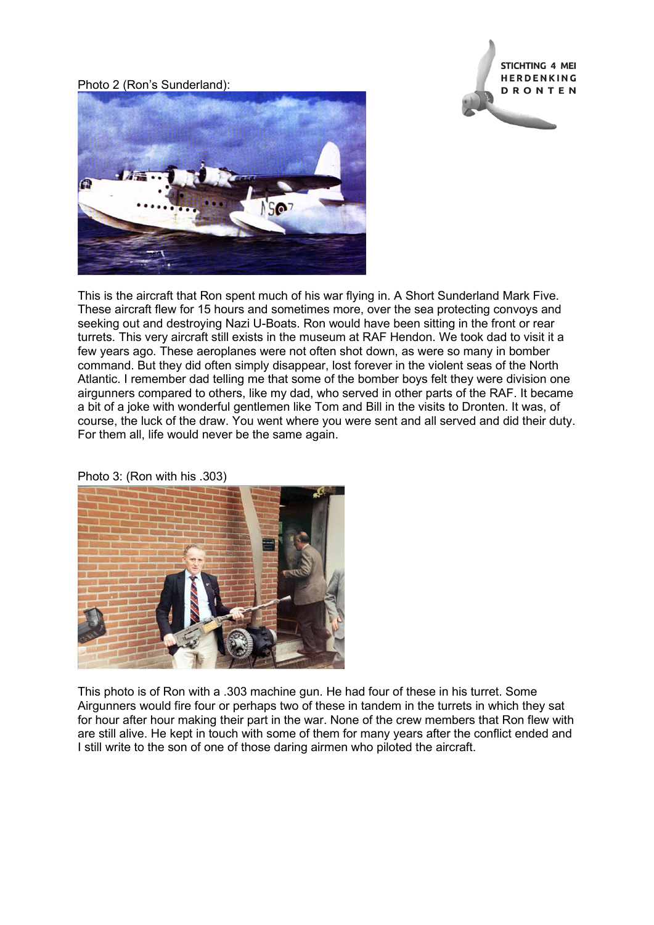Photo 2 (Ron's Sunderland):





This is the aircraft that Ron spent much of his war flying in. A Short Sunderland Mark Five. These aircraft flew for 15 hours and sometimes more, over the sea protecting convoys and seeking out and destroying Nazi U-Boats. Ron would have been sitting in the front or rear turrets. This very aircraft still exists in the museum at RAF Hendon. We took dad to visit it a few years ago. These aeroplanes were not often shot down, as were so many in bomber command. But they did often simply disappear, lost forever in the violent seas of the North Atlantic. I remember dad telling me that some of the bomber boys felt they were division one airgunners compared to others, like my dad, who served in other parts of the RAF. It became a bit of a joke with wonderful gentlemen like Tom and Bill in the visits to Dronten. It was, of course, the luck of the draw. You went where you were sent and all served and did their duty. For them all, life would never be the same again.

Photo 3: (Ron with his .303)



This photo is of Ron with a .303 machine gun. He had four of these in his turret. Some Airgunners would fire four or perhaps two of these in tandem in the turrets in which they sat for hour after hour making their part in the war. None of the crew members that Ron flew with are still alive. He kept in touch with some of them for many years after the conflict ended and I still write to the son of one of those daring airmen who piloted the aircraft.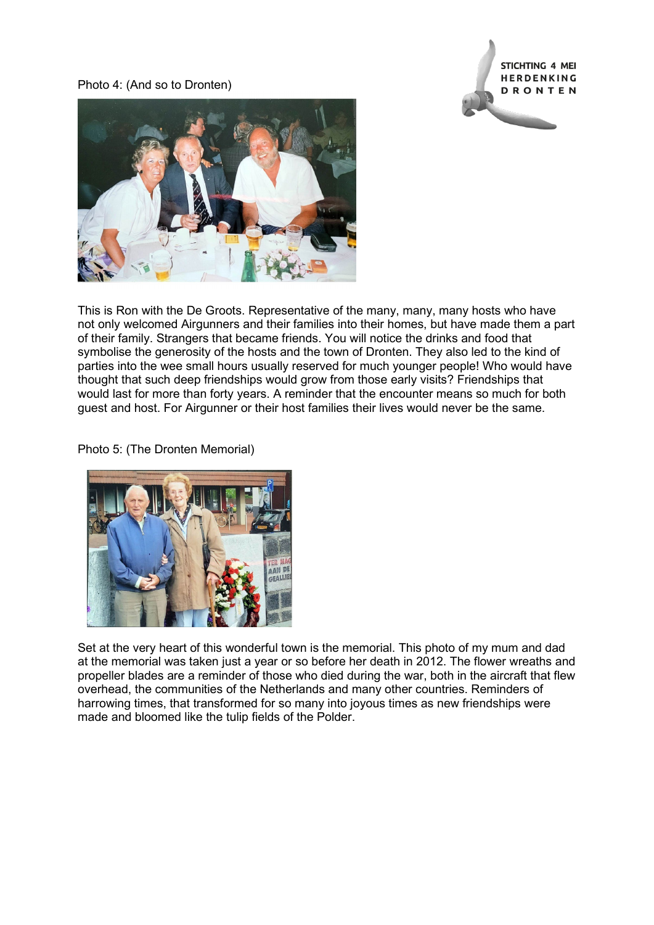Photo 4: (And so to Dronten)





This is Ron with the De Groots. Representative of the many, many, many hosts who have not only welcomed Airgunners and their families into their homes, but have made them a part of their family. Strangers that became friends. You will notice the drinks and food that symbolise the generosity of the hosts and the town of Dronten. They also led to the kind of parties into the wee small hours usually reserved for much younger people! Who would have thought that such deep friendships would grow from those early visits? Friendships that would last for more than forty years. A reminder that the encounter means so much for both guest and host. For Airgunner or their host families their lives would never be the same.

Photo 5: (The Dronten Memorial)



Set at the very heart of this wonderful town is the memorial. This photo of my mum and dad at the memorial was taken just a year or so before her death in 2012. The flower wreaths and propeller blades are a reminder of those who died during the war, both in the aircraft that flew overhead, the communities of the Netherlands and many other countries. Reminders of harrowing times, that transformed for so many into joyous times as new friendships were made and bloomed like the tulip fields of the Polder.